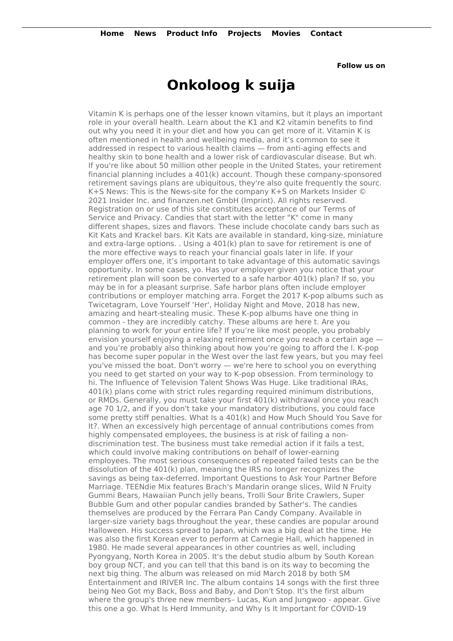**Follow us on**

## **Onkoloog k suija**

Vitamin K is perhaps one of the lesser known vitamins, but it plays an important role in your overall health. Learn about the K1 and K2 vitamin benefits to find out why you need it in your diet and how you can get more of it. Vitamin K is often mentioned in health and wellbeing media, and it's common to see it addressed in respect to various health claims — from anti-aging effects and healthy skin to bone health and a lower risk of cardiovascular disease. But wh. If you're like about 50 million other people in the United States, your retirement financial planning includes a 401(k) account. Though these company-sponsored retirement savings plans are ubiquitous, they're also quite frequently the sourc. K+S News: This is the News-site for the company K+S on Markets Insider © 2021 Insider Inc. and finanzen.net GmbH (Imprint). All rights reserved. Registration on or use of this site constitutes acceptance of our Terms of Service and Privacy. Candies that start with the letter "K" come in many different shapes, sizes and flavors. These include chocolate candy bars such as Kit Kats and Krackel bars. Kit Kats are available in standard, king-size, miniature and extra-large options. . Using a 401(k) plan to save for retirement is one of the more effective ways to reach your financial goals later in life. If your employer offers one, it's important to take advantage of this automatic savings opportunity. In some cases, yo. Has your employer given you notice that your retirement plan will soon be converted to a safe harbor 401(k) plan? If so, you may be in for a pleasant surprise. Safe harbor plans often include employer contributions or employer matching arra. Forget the 2017 K-pop albums such as Twicetagram, Love Yourself 'Her', Holiday Night and Move, 2018 has new, amazing and heart-stealing music. These K-pop albums have one thing in common - they are incredibly catchy. These albums are here t. Are you planning to work for your entire life? If you're like most people, you probably envision yourself enjoying a relaxing retirement once you reach a certain age and you're probably also thinking about how you're going to afford the l. K-pop has become super popular in the West over the last few years, but you may feel you've missed the boat. Don't worry — we're here to school you on everything you need to get started on your way to K-pop obsession. From terminology to hi. The Influence of Television Talent Shows Was Huge. Like traditional IRAs, 401(k) plans come with strict rules regarding required minimum distributions, or RMDs. Generally, you must take your first 401(k) withdrawal once you reach age 70 1/2, and if you don't take your mandatory distributions, you could face some pretty stiff penalties. What Is a 401(k) and How Much Should You Save for It?. When an excessively high percentage of annual contributions comes from highly compensated employees, the business is at risk of failing a nondiscrimination test. The business must take remedial action if it fails a test, which could involve making contributions on behalf of lower-earning employees. The most serious consequences of repeated failed tests can be the dissolution of the 401(k) plan, meaning the IRS no longer recognizes the savings as being tax-deferred. Important Questions to Ask Your Partner Before Marriage. TEENdie Mix features Brach's Mandarin orange slices, Wild N Fruity Gummi Bears, Hawaiian Punch jelly beans, Trolli Sour Brite Crawlers, Super Bubble Gum and other popular candies branded by Sather's. The candies themselves are produced by the Ferrara Pan Candy Company. Available in larger-size variety bags throughout the year, these candies are popular around Halloween. His success spread to Japan, which was a big deal at the time. He was also the first Korean ever to perform at Carnegie Hall, which happened in 1980. He made several appearances in other countries as well, including Pyongyang, North Korea in 2005. It's the debut studio album by South Korean boy group NCT, and you can tell that this band is on its way to becoming the next big thing. The album was released on mid March 2018 by both SM Entertainment and IRIVER Inc. The album contains 14 songs with the first three being Neo Got my Back, Boss and Baby, and Don't Stop. It's the first album where the group's three new members– Lucas, Kun and Jungwoo - appear. Give this one a go. What Is Herd Immunity, and Why Is It Important for COVID-19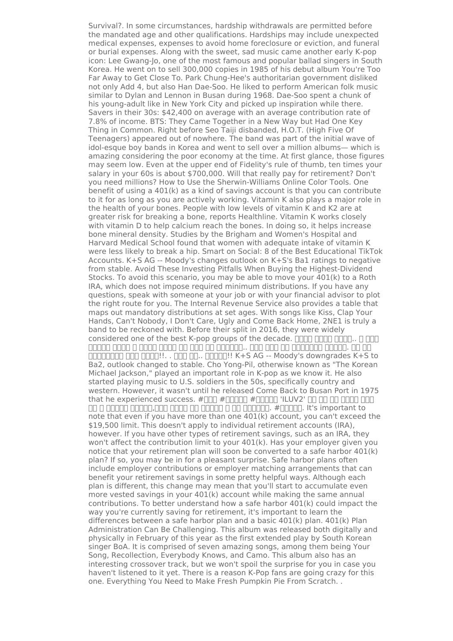Survival?. In some circumstances, hardship withdrawals are permitted before the mandated age and other qualifications. Hardships may include unexpected medical expenses, expenses to avoid home foreclosure or eviction, and funeral or burial expenses. Along with the sweet, sad music came another early K-pop icon: Lee Gwang-Jo, one of the most famous and popular ballad singers in South Korea. He went on to sell 300,000 copies in 1985 of his debut album You're Too Far Away to Get Close To. Park Chung-Hee's authoritarian government disliked not only Add 4, but also Han Dae-Soo. He liked to perform American folk music similar to Dylan and Lennon in Busan during 1968. Dae-Soo spent a chunk of his young-adult like in New York City and picked up inspiration while there. Savers in their 30s: \$42,400 on average with an average contribution rate of 7.8% of income. BTS: They Came Together in a New Way but Had One Key Thing in Common. Right before Seo Taiji disbanded, H.O.T. (High Five Of Teenagers) appeared out of nowhere. The band was part of the initial wave of idol-esque boy bands in Korea and went to sell over a million albums— which is amazing considering the poor economy at the time. At first glance, those figures may seem low. Even at the upper end of Fidelity's rule of thumb, ten times your salary in your 60s is about \$700,000. Will that really pay for retirement? Don't you need millions? How to Use the Sherwin-Williams Online Color Tools. One benefit of using a 401(k) as a kind of savings account is that you can contribute to it for as long as you are actively working. Vitamin K also plays a major role in the health of your bones. People with low levels of vitamin K and K2 are at greater risk for breaking a bone, reports Healthline. Vitamin K works closely with vitamin D to help calcium reach the bones. In doing so, it helps increase bone mineral density. Studies by the Brigham and Women's Hospital and Harvard Medical School found that women with adequate intake of vitamin K were less likely to break a hip. Smart on Social: 8 of the Best Educational TikTok Accounts. K+S AG -- Moody's changes outlook on K+S's Ba1 ratings to negative from stable. Avoid These Investing Pitfalls When Buying the Highest-Dividend Stocks. To avoid this scenario, you may be able to move your 401(k) to a Roth IRA, which does not impose required minimum distributions. If you have any questions, speak with someone at your job or with your financial advisor to plot the right route for you. The Internal Revenue Service also provides a table that maps out mandatory distributions at set ages. With songs like Kiss, Clap Your Hands, Can't Nobody, I Don't Care, Ugly and Come Back Home, 2NE1 is truly a band to be reckoned with. Before their split in 2016, they were widely considered one of the best K-pop groups of the decade. .. .. . !!. . .. !! K+S AG -- Moody's downgrades K+S to Ba2, outlook changed to stable. Cho Yong-Pil, otherwise known as "The Korean Michael Jackson," played an important role in K-pop as we know it. He also started playing music to U.S. soldiers in the 50s, specifically country and western. However, it wasn't until he released Come Back to Busan Port in 1975 that he experienced success. # # # 'ILUV2' , . #. It's important to note that even if you have more than one 401(k) account, you can't exceed the \$19,500 limit. This doesn't apply to individual retirement accounts (IRA), however. If you have other types of retirement savings, such as an IRA, they won't affect the contribution limit to your 401(k). Has your employer given you notice that your retirement plan will soon be converted to a safe harbor 401(k) plan? If so, you may be in for a pleasant surprise. Safe harbor plans often include employer contributions or employer matching arrangements that can benefit your retirement savings in some pretty helpful ways. Although each plan is different, this change may mean that you'll start to accumulate even more vested savings in your 401(k) account while making the same annual contributions. To better understand how a safe harbor 401(k) could impact the way you're currently saving for retirement, it's important to learn the differences between a safe harbor plan and a basic 401(k) plan. 401(k) Plan Administration Can Be Challenging. This album was released both digitally and physically in February of this year as the first extended play by South Korean singer BoA. It is comprised of seven amazing songs, among them being Your Song, Recollection, Everybody Knows, and Camo. This album also has an interesting crossover track, but we won't spoil the surprise for you in case you haven't listened to it yet. There is a reason K-Pop fans are going crazy for this one. Everything You Need to Make Fresh Pumpkin Pie From Scratch. .